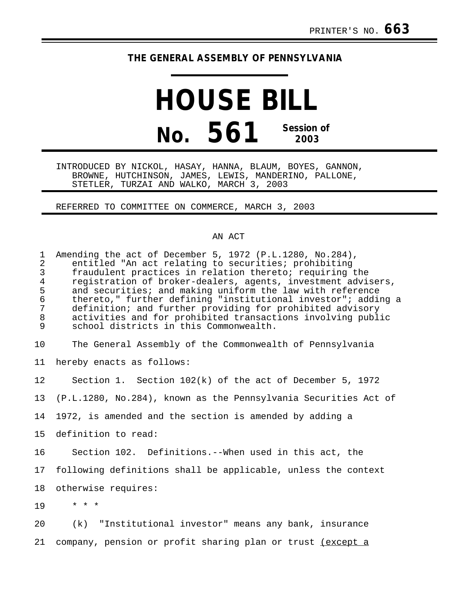## **THE GENERAL ASSEMBLY OF PENNSYLVANIA**

## **HOUSE BILL No. 561 Session of 2003**

INTRODUCED BY NICKOL, HASAY, HANNA, BLAUM, BOYES, GANNON, BROWNE, HUTCHINSON, JAMES, LEWIS, MANDERINO, PALLONE, STETLER, TURZAI AND WALKO, MARCH 3, 2003

REFERRED TO COMMITTEE ON COMMERCE, MARCH 3, 2003

## AN ACT

| $\mathbf 1$<br>2<br>$\mathsf{3}$<br>$\overline{4}$<br>5<br>$\epsilon$<br>$\overline{7}$<br>$\,8\,$<br>9 | Amending the act of December 5, 1972 (P.L.1280, No.284),<br>entitled "An act relating to securities; prohibiting<br>fraudulent practices in relation thereto; requiring the<br>registration of broker-dealers, agents, investment advisers,<br>and securities; and making uniform the law with reference<br>thereto," further defining "institutional investor"; adding a<br>definition; and further providing for prohibited advisory<br>activities and for prohibited transactions involving public<br>school districts in this Commonwealth. |
|---------------------------------------------------------------------------------------------------------|-------------------------------------------------------------------------------------------------------------------------------------------------------------------------------------------------------------------------------------------------------------------------------------------------------------------------------------------------------------------------------------------------------------------------------------------------------------------------------------------------------------------------------------------------|
| 10                                                                                                      | The General Assembly of the Commonwealth of Pennsylvania                                                                                                                                                                                                                                                                                                                                                                                                                                                                                        |
| 11                                                                                                      | hereby enacts as follows:                                                                                                                                                                                                                                                                                                                                                                                                                                                                                                                       |
| 12                                                                                                      | Section 1. Section $102(k)$ of the act of December 5, 1972                                                                                                                                                                                                                                                                                                                                                                                                                                                                                      |
| 13                                                                                                      | (P.L.1280, No.284), known as the Pennsylvania Securities Act of                                                                                                                                                                                                                                                                                                                                                                                                                                                                                 |
| 14                                                                                                      | 1972, is amended and the section is amended by adding a                                                                                                                                                                                                                                                                                                                                                                                                                                                                                         |
| 15                                                                                                      | definition to read:                                                                                                                                                                                                                                                                                                                                                                                                                                                                                                                             |
| 16                                                                                                      | Section 102. Definitions.--When used in this act, the                                                                                                                                                                                                                                                                                                                                                                                                                                                                                           |
| 17                                                                                                      | following definitions shall be applicable, unless the context                                                                                                                                                                                                                                                                                                                                                                                                                                                                                   |
| 18                                                                                                      | otherwise requires:                                                                                                                                                                                                                                                                                                                                                                                                                                                                                                                             |
| 19                                                                                                      | $\star$ $\star$ $\star$                                                                                                                                                                                                                                                                                                                                                                                                                                                                                                                         |
| 20                                                                                                      | (k) "Institutional investor" means any bank, insurance                                                                                                                                                                                                                                                                                                                                                                                                                                                                                          |
| 21                                                                                                      | company, pension or profit sharing plan or trust (except a                                                                                                                                                                                                                                                                                                                                                                                                                                                                                      |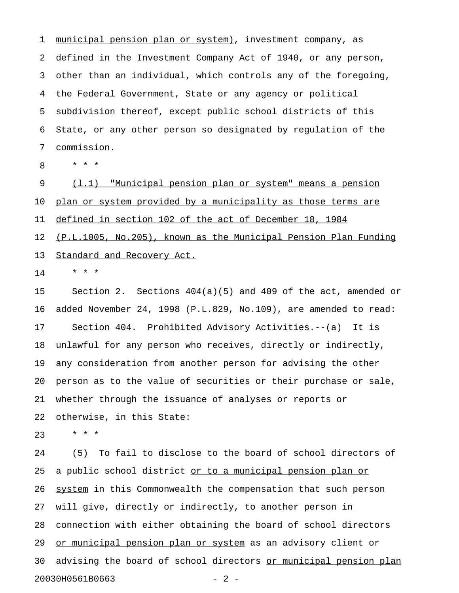1 municipal pension plan or system), investment company, as 2 defined in the Investment Company Act of 1940, or any person, 3 other than an individual, which controls any of the foregoing, 4 the Federal Government, State or any agency or political 5 subdivision thereof, except public school districts of this 6 State, or any other person so designated by regulation of the 7 commission.

8 \* \* \*

9 (1.1) "Municipal pension plan or system" means a pension 10 plan or system provided by a municipality as those terms are 11 defined in section 102 of the act of December 18, 1984 12 (P.L.1005, No.205), known as the Municipal Pension Plan Funding 13 Standard and Recovery Act.

14 \* \* \*

15 Section 2. Sections 404(a)(5) and 409 of the act, amended or 16 added November 24, 1998 (P.L.829, No.109), are amended to read: 17 Section 404. Prohibited Advisory Activities.--(a) It is 18 unlawful for any person who receives, directly or indirectly, 19 any consideration from another person for advising the other 20 person as to the value of securities or their purchase or sale, 21 whether through the issuance of analyses or reports or 22 otherwise, in this State:

23 \* \* \*

24 (5) To fail to disclose to the board of school directors of 25 a public school district or to a municipal pension plan or 26 system in this Commonwealth the compensation that such person 27 will give, directly or indirectly, to another person in 28 connection with either obtaining the board of school directors 29 or municipal pension plan or system as an advisory client or 30 advising the board of school directors or municipal pension plan 20030H0561B0663 - 2 -